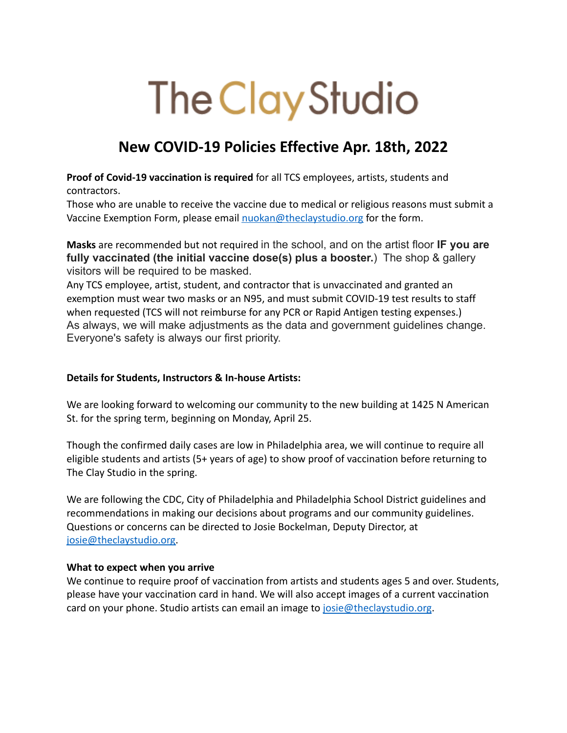## The Clay Studio

## **New COVID-19 Policies Effective Apr. 18th, 2022**

**Proof of Covid-19 vaccination is required** for all TCS employees, artists, students and contractors.

Those who are unable to receive the vaccine due to medical or religious reasons must submit a Vaccine Exemption Form, please email [nuokan@theclaystudio.org](mailto:nuokan@theclaystudio.org) for the form.

**Masks** are recommended but not required in the school, and on the artist floor **IF you are fully vaccinated (the initial vaccine dose(s) plus a booster.**) The shop & gallery visitors will be required to be masked.

Any TCS employee, artist, student, and contractor that is unvaccinated and granted an exemption must wear two masks or an N95, and must submit COVID-19 test results to staff when requested (TCS will not reimburse for any PCR or Rapid Antigen testing expenses.) As always, we will make adjustments as the data and government guidelines change. Everyone's safety is always our first priority.

## **Details for Students, Instructors & In-house Artists:**

We are looking forward to welcoming our community to the new building at 1425 N American St. for the spring term, beginning on Monday, April 25.

Though the confirmed daily cases are low in Philadelphia area, we will continue to require all eligible students and artists (5+ years of age) to show proof of vaccination before returning to The Clay Studio in the spring.

We are following the CDC, City of Philadelphia and Philadelphia School District guidelines and recommendations in making our decisions about programs and our community guidelines. Questions or concerns can be directed to Josie Bockelman, Deputy Director, at [josie@theclaystudio.org.](mailto:josie@theclaystudio.org)

## **What to expect when you arrive**

We continue to require proof of vaccination from artists and students ages 5 and over. Students, please have your vaccination card in hand. We will also accept images of a current vaccination card on your phone. Studio artists can email an image to [josie@theclaystudio.org](mailto:josie@theclaystudio.org).